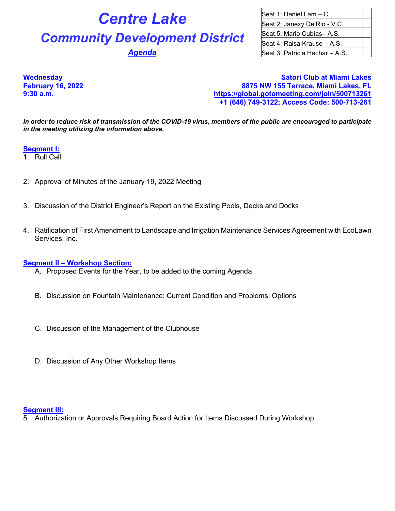# **Centre Lake** Seat 1: Daniel Lam – C. **Community Development District** Seat 5: Mario Cubías– A.S.

Seat 2: Janexy DelRio - V.C. Seat 4: Raisa Krause – A.S. **Agenda Seat 3: Patricia Hachar – A.S.** 

**Wednesday Satori Club at Miami Lakes February 16, 2022 8875 NW 155 Terrace, Miami Lakes, FL 9:30 a.m. <https://global.gotomeeting.com/join/500713261> +1 (646) 749-3122; Access Code: 500-713-261**

*In order to reduce risk of transmission of the COVID-19 virus, members of the public are encouraged to participate in the meeting utilizing the information above.*

## **Segment I:**

- 1. Roll Call
- 2. Approval of Minutes of the January 19, 2022 Meeting
- 3. Discussion of the District Engineer's Report on the Existing Pools, Decks and Docks
- 4. Ratification of First Amendment to Landscape and Irrigation Maintenance Services Agreement with EcoLawn Services, Inc.

### **Segment II – Workshop Section:**

- A. Proposed Events for the Year, to be added to the coming Agenda
- B. Discussion on Fountain Maintenance: Current Condition and Problems; Options
- C. Discussion of the Management of the Clubhouse
- D. Discussion of Any Other Workshop Items

#### **Segment III:**

5. Authorization or Approvals Requiring Board Action for Items Discussed During Workshop